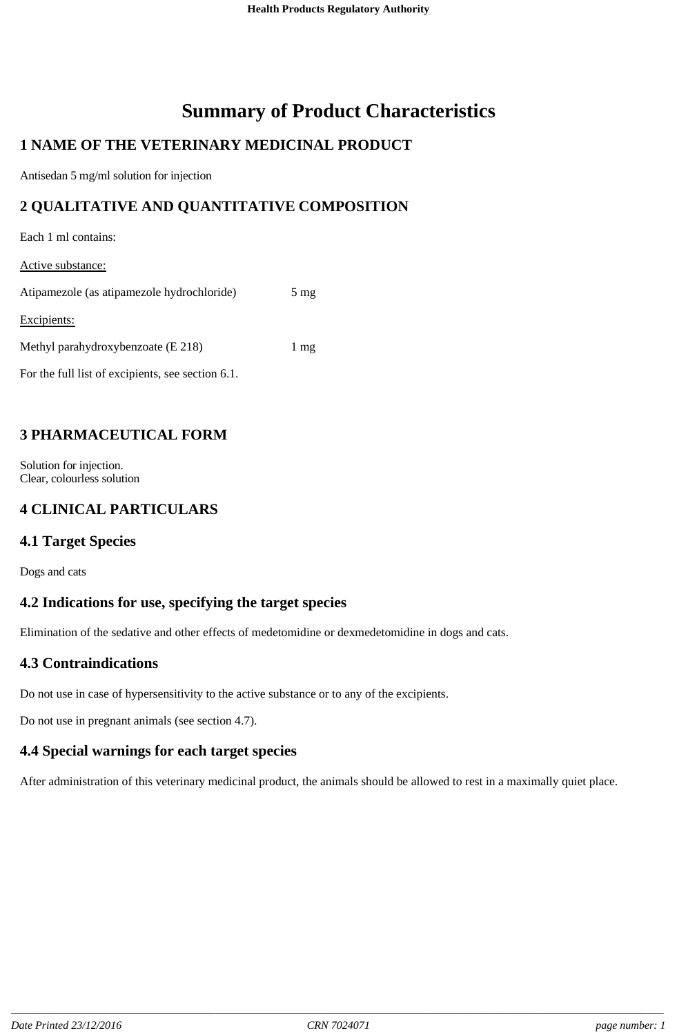# **Summary of Product Characteristics**

# **1 NAME OF THE VETERINARY MEDICINAL PRODUCT**

Antisedan 5 mg/ml solution for injection

## **2 QUALITATIVE AND QUANTITATIVE COMPOSITION**

Each 1 ml contains:

Active substance:

| Atipamezole (as atipamezole hydrochloride)        | $5 \text{ mg}$ |
|---------------------------------------------------|----------------|
| Excipients:                                       |                |
| Methyl parahydroxybenzoate (E 218)                | 1 mg           |
| For the full list of excipients, see section 6.1. |                |

### **3 PHARMACEUTICAL FORM**

Solution for injection. Clear, colourless solution

## **4 CLINICAL PARTICULARS**

#### **4.1 Target Species**

Dogs and cats

### **4.2 Indications for use, specifying the target species**

Elimination of the sedative and other effects of medetomidine or dexmedetomidine in dogs and cats.

### **4.3 Contraindications**

Do not use in case of hypersensitivity to the active substance or to any of the excipients.

Do not use in pregnant animals (see section 4.7).

#### **4.4 Special warnings for each target species**

After administration of this veterinary medicinal product, the animals should be allowed to rest in a maximally quiet place.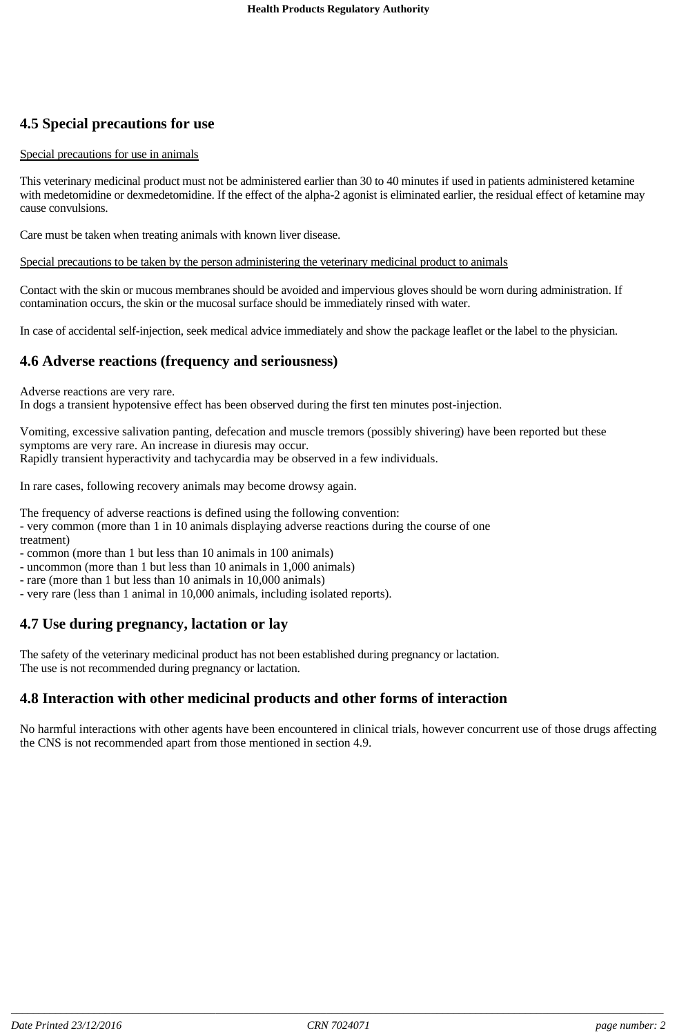# **4.5 Special precautions for use**

#### Special precautions for use in animals

This veterinary medicinal product must not be administered earlier than 30 to 40 minutes if used in patients administered ketamine with medetomidine or dexmedetomidine. If the effect of the alpha-2 agonist is eliminated earlier, the residual effect of ketamine may cause convulsions.

Care must be taken when treating animals with known liver disease.

#### Special precautions to be taken by the person administering the veterinary medicinal product to animals

Contact with the skin or mucous membranes should be avoided and impervious gloves should be worn during administration. If contamination occurs, the skin or the mucosal surface should be immediately rinsed with water.

In case of accidental self-injection, seek medical advice immediately and show the package leaflet or the label to the physician.

#### **4.6 Adverse reactions (frequency and seriousness)**

Adverse reactions are very rare.

In dogs a transient hypotensive effect has been observed during the first ten minutes post-injection.

Vomiting, excessive salivation panting, defecation and muscle tremors (possibly shivering) have been reported but these symptoms are very rare. An increase in diuresis may occur. Rapidly transient hyperactivity and tachycardia may be observed in a few individuals.

In rare cases, following recovery animals may become drowsy again.

The frequency of adverse reactions is defined using the following convention:

- very common (more than 1 in 10 animals displaying adverse reactions during the course of one treatment)
- common (more than 1 but less than 10 animals in 100 animals)
- uncommon (more than 1 but less than 10 animals in 1,000 animals)
- rare (more than 1 but less than 10 animals in 10,000 animals)
- very rare (less than 1 animal in 10,000 animals, including isolated reports).

### **4.7 Use during pregnancy, lactation or lay**

The safety of the veterinary medicinal product has not been established during pregnancy or lactation. The use is not recommended during pregnancy or lactation.

### **4.8 Interaction with other medicinal products and other forms of interaction**

No harmful interactions with other agents have been encountered in clinical trials, however concurrent use of those drugs affecting the CNS is not recommended apart from those mentioned in section 4.9.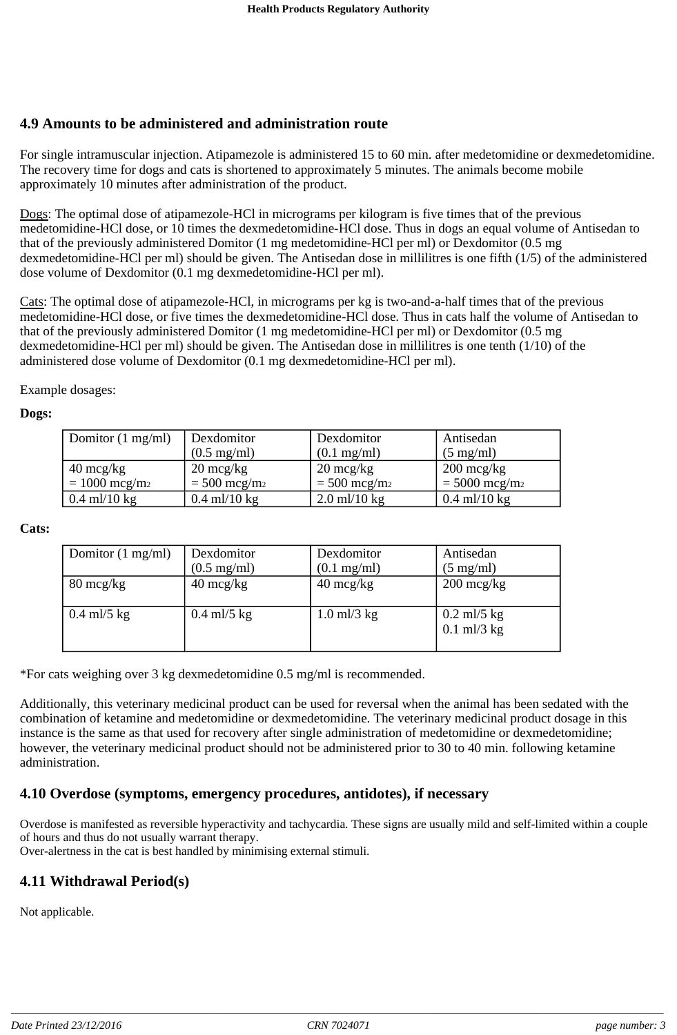#### **4.9 Amounts to be administered and administration route**

For single intramuscular injection. Atipamezole is administered 15 to 60 min. after medetomidine or dexmedetomidine. The recovery time for dogs and cats is shortened to approximately 5 minutes. The animals become mobile approximately 10 minutes after administration of the product.

Dogs: The optimal dose of atipamezole-HCl in micrograms per kilogram is five times that of the previous medetomidine-HCl dose, or 10 times the dexmedetomidine-HCl dose. Thus in dogs an equal volume of Antisedan to that of the previously administered Domitor (1 mg medetomidine-HCl per ml) or Dexdomitor (0.5 mg dexmedetomidine-HCl per ml) should be given. The Antisedan dose in millilitres is one fifth (1/5) of the administered dose volume of Dexdomitor (0.1 mg dexmedetomidine-HCl per ml).

Cats: The optimal dose of atipamezole-HCl, in micrograms per kg is two-and-a-half times that of the previous medetomidine-HCl dose, or five times the dexmedetomidine-HCl dose. Thus in cats half the volume of Antisedan to that of the previously administered Domitor (1 mg medetomidine-HCl per ml) or Dexdomitor (0.5 mg dexmedetomidine-HCl per ml) should be given. The Antisedan dose in millilitres is one tenth (1/10) of the administered dose volume of Dexdomitor (0.1 mg dexmedetomidine-HCl per ml).

Example dosages:

#### **Dogs:**

| Domitor $(1 \text{ mg/ml})$ | Dexdomitor                 | Dexdomitor                 | Antisedan               |
|-----------------------------|----------------------------|----------------------------|-------------------------|
|                             | $(0.5 \text{ mg/ml})$      | $(0.1 \text{ mg/ml})$      | $(5 \text{ mg/ml})$     |
| $40 \text{~mcg/kg}$         | $20 \text{~mcg/kg}$        | $20 \text{~mcg/kg}$        | $200 \text{~mcg/kg}$    |
| $= 1000 \text{~mg/m}_2$     | $=$ 500 mcg/m <sub>2</sub> | $=$ 500 mcg/m <sub>2</sub> | $= 5000 \text{~mg/m}_2$ |
| $0.4$ ml/10 kg              | $0.4$ ml/10 kg             | $2.0$ ml/10 kg             | $0.4$ ml/10 kg          |

#### **Cats:**

| Domitor $(1 \text{ mg/ml})$ | Dexdomitor            | Dexdomitor            | Antisedan                      |
|-----------------------------|-----------------------|-----------------------|--------------------------------|
|                             | $(0.5 \text{ mg/ml})$ | $(0.1 \text{ mg/ml})$ | $(5 \text{ mg/ml})$            |
| $80 \text{~mcg/kg}$         | $40 \text{~mcg/kg}$   | $40 \text{~mg/kg}$    | $200 \text{~mcg/kg}$           |
| $0.4$ ml/5 kg               | $0.4$ ml/5 kg         | $1.0$ ml/3 kg         | $0.2$ ml/5 kg<br>$0.1$ ml/3 kg |

\*For cats weighing over 3 kg dexmedetomidine 0.5 mg/ml is recommended.

Additionally, this veterinary medicinal product can be used for reversal when the animal has been sedated with the combination of ketamine and medetomidine or dexmedetomidine. The veterinary medicinal product dosage in this instance is the same as that used for recovery after single administration of medetomidine or dexmedetomidine; however, the veterinary medicinal product should not be administered prior to 30 to 40 min. following ketamine administration.

#### **4.10 Overdose (symptoms, emergency procedures, antidotes), if necessary**

Overdose is manifested as reversible hyperactivity and tachycardia. These signs are usually mild and self-limited within a couple of hours and thus do not usually warrant therapy.

Over-alertness in the cat is best handled by minimising external stimuli.

### **4.11 Withdrawal Period(s)**

Not applicable.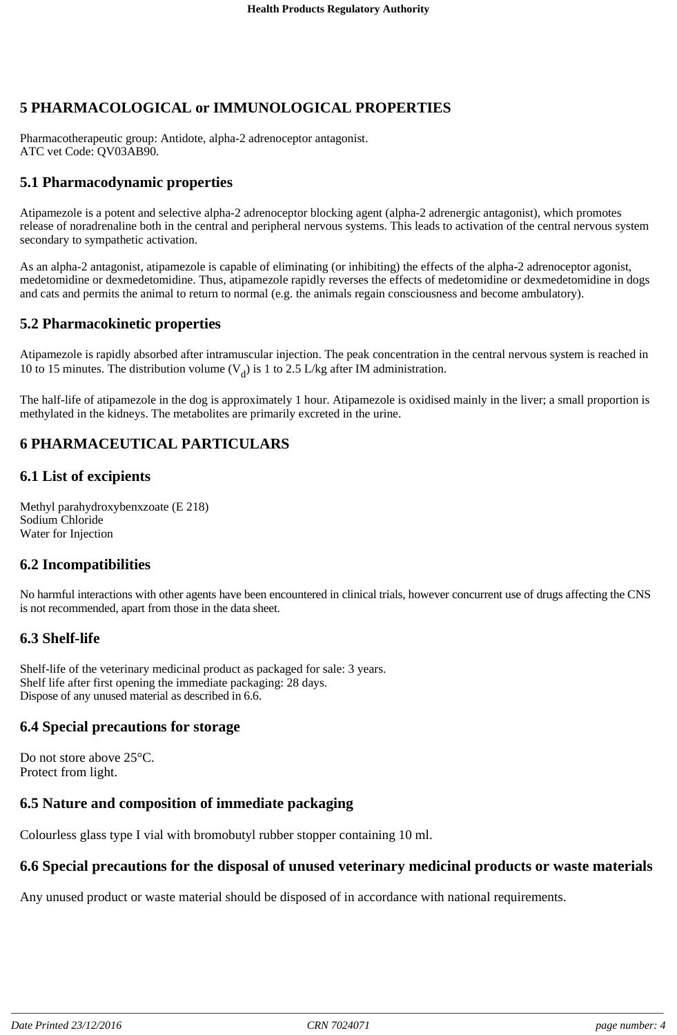# **5 PHARMACOLOGICAL or IMMUNOLOGICAL PROPERTIES**

Pharmacotherapeutic group: Antidote, alpha-2 adrenoceptor antagonist. ATC vet Code: QV03AB90.

#### **5.1 Pharmacodynamic properties**

Atipamezole is a potent and selective alpha-2 adrenoceptor blocking agent (alpha-2 adrenergic antagonist), which promotes release of noradrenaline both in the central and peripheral nervous systems. This leads to activation of the central nervous system secondary to sympathetic activation.

As an alpha-2 antagonist, atipamezole is capable of eliminating (or inhibiting) the effects of the alpha-2 adrenoceptor agonist, medetomidine or dexmedetomidine. Thus, atipamezole rapidly reverses the effects of medetomidine or dexmedetomidine in dogs and cats and permits the animal to return to normal (e.g. the animals regain consciousness and become ambulatory).

#### **5.2 Pharmacokinetic properties**

Atipamezole is rapidly absorbed after intramuscular injection. The peak concentration in the central nervous system is reached in 10 to 15 minutes. The distribution volume  $(V_d)$  is 1 to 2.5 L/kg after IM administration.

The half-life of atipamezole in the dog is approximately 1 hour. Atipamezole is oxidised mainly in the liver; a small proportion is methylated in the kidneys. The metabolites are primarily excreted in the urine.

### **6 PHARMACEUTICAL PARTICULARS**

#### **6.1 List of excipients**

Methyl parahydroxybenxzoate (E 218) Sodium Chloride Water for Injection

#### **6.2 Incompatibilities**

No harmful interactions with other agents have been encountered in clinical trials, however concurrent use of drugs affecting the CNS is not recommended, apart from those in the data sheet.

### **6.3 Shelf-life**

Shelf-life of the veterinary medicinal product as packaged for sale: 3 years. Shelf life after first opening the immediate packaging: 28 days. Dispose of any unused material as described in 6.6.

#### **6.4 Special precautions for storage**

Do not store above 25°C. Protect from light.

#### **6.5 Nature and composition of immediate packaging**

Colourless glass type I vial with bromobutyl rubber stopper containing 10 ml.

#### **6.6 Special precautions for the disposal of unused veterinary medicinal products or waste materials**

Any unused product or waste material should be disposed of in accordance with national requirements.